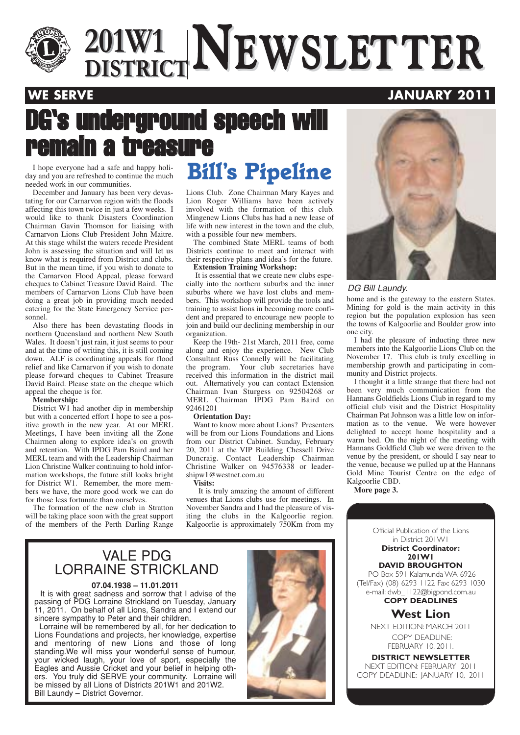

# $\frac{201 \text{W1}}{\text{DISTRICT}}$ **NEWSLETTER 201W1 DISTRICTNEWSLETTER**

**WE SERVE AND RESERVE JANUARY 2011** 

# DG's underground speech will remain a treasure

day and you are refreshed to continue the much needed work in our communities.

December and January has been very devastating for our Carnarvon region with the floods affecting this town twice in just a few weeks. I would like to thank Disasters Coordination Chairman Gavin Thomson for liaising with Carnarvon Lions Club President John Maitre. At this stage whilst the waters recede President John is assessing the situation and will let us know what is required from District and clubs. But in the mean time, if you wish to donate to the Carnarvon Flood Appeal, please forward cheques to Cabinet Treasure David Baird. The members of Carnarvon Lions Club have been doing a great job in providing much needed catering for the State Emergency Service personnel.

Also there has been devastating floods in northern Queensland and northern New South Wales. It doesn't just rain, it just seems to pour and at the time of writing this, it is still coming down. ALF is coordinating appeals for flood relief and like Carnarvon if you wish to donate please forward cheques to Cabinet Treasure David Baird. Please state on the cheque which appeal the cheque is for.

### **Membership:**

District W1 had another dip in membership but with a concerted effort I hope to see a positive growth in the new year. At our MERL Meetings, I have been inviting all the Zone Chairmen along to explore idea's on growth and retention. With IPDG Pam Baird and her MERL team and with the Leadership Chairman Lion Christine Walker continuing to hold information workshops, the future still looks bright for District W1. Remember, the more members we have, the more good work we can do for those less fortunate than ourselves.

The formation of the new club in Stratton will be taking place soon with the great support of the members of the Perth Darling Range

## I hope everyone had a safe and happy holi-<br>I hope are refreshed to continue the much **Bill's Pipeline**

Lions Club. Zone Chairman Mary Kayes and Lion Roger Williams have been actively involved with the formation of this club. Mingenew Lions Clubs has had a new lease of life with new interest in the town and the club, with a possible four new members.

The combined State MERL teams of both Districts continue to meet and interact with their respective plans and idea's for the future. **Extension Training Workshop:**

It is essential that we create new clubs especially into the northern suburbs and the inner suburbs where we have lost clubs and members. This workshop will provide the tools and training to assist lions in becoming more confident and prepared to encourage new people to join and build our declining membership in our organization.

Keep the 19th- 21st March, 2011 free, come along and enjoy the experience. New Club Consultant Russ Connelly will be facilitating the program. Your club secretaries have received this information in the district mail out. Alternatively you can contact Extension Chairman Ivan Sturgess on 92504268 or MERL Chairman IPDG Pam Baird on 92461201

### **Orientation Day:**

Want to know more about Lions? Presenters will be from our Lions Foundations and Lions from our District Cabinet. Sunday, February 20, 2011 at the VIP Building Chessell Drive Duncraig. Contact Leadership Chairman Christine Walker on 94576338 or leadershipw1@westnet.com.au

### **Visits:**

It is truly amazing the amount of different venues that Lions clubs use for meetings. In November Sandra and I had the pleasure of visiting the clubs in the Kalgoorlie region. Kalgoorlie is approximately 750Km from my

### VALE PDG LORRAINE STRICKLAND

### **07.04.1938 – 11.01.2011**

It is with great sadness and sorrow that I advise of the passing of PDG Lorraine Strickland on Tuesday, January 11, 2011. On behalf of all Lions, Sandra and I extend our sincere sympathy to Peter and their children.

Lorraine will be remembered by all, for her dedication to Lions Foundations and projects, her knowledge, expertise and mentoring of new Lions and those of long standing.We will miss your wonderful sense of humour, your wicked laugh, your love of sport, especially the Eagles and Aussie Cricket and your belief in helping others. You truly did SERVE your community. Lorraine will be missed by all Lions of Districts 201W1 and 201W2. Bill Laundy – District Governor.





### DG Bill Laundy.

home and is the gateway to the eastern States. Mining for gold is the main activity in this region but the population explosion has seen the towns of Kalgoorlie and Boulder grow into one city.

I had the pleasure of inducting three new members into the Kalgoorlie Lions Club on the November 17. This club is truly excelling in membership growth and participating in community and District projects.

I thought it a little strange that there had not been very much communication from the Hannans Goldfields Lions Club in regard to my official club visit and the District Hospitality Chairman Pat Johnson was a little low on information as to the venue. We were however delighted to accept home hospitality and a warm bed. On the night of the meeting with Hannans Goldfield Club we were driven to the venue by the president, or should I say near to the venue, because we pulled up at the Hannans Gold Mine Tourist Centre on the edge of Kalgoorlie CBD.

**More page 3.**

Official Publication of the Lions in District 201W1

### **District Coordinator: 201W1**

**DAVID BROUGHTON** PO Box 591 Kalamunda WA 6926 (Tel/Fax) (08) 6293 1122 Fax: 6293 1030 e-mail: dwb\_1122@bigpond.com.au **COPY DEADLINES**

### **West Lion**

NEXT EDITION: MARCH 2011 COPY DEADLINE: FEBRUARY 10, 2011.

**DISTRICT NEWSLETTER** NEXT EDITION: FEBRUARY 2011 COPY DEADLINE: JANUARY 10, 2011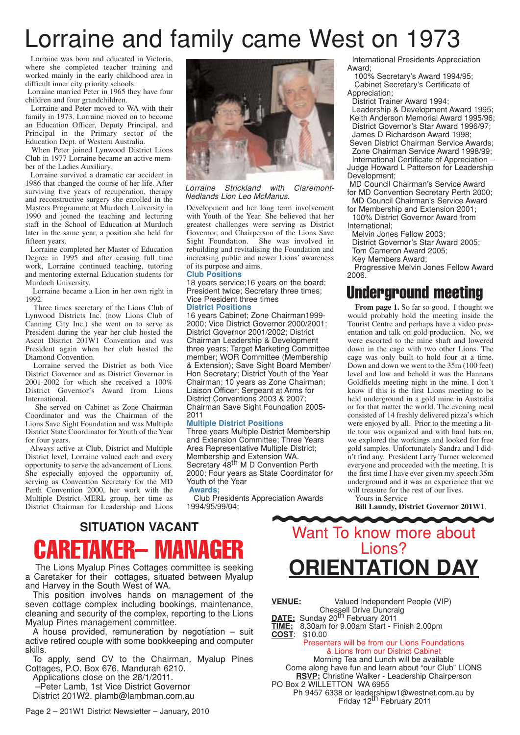# Lorraine and family came West on 1973

Lorraine was born and educated in Victoria, where she completed teacher training and worked mainly in the early childhood area in difficult inner city priority schools.

Lorraine married Peter in 1965 they have four children and four grandchildren.

Lorraine and Peter moved to WA with their family in 1973. Lorraine moved on to become an Education Officer, Deputy Principal, and Principal in the Primary sector of the Education Dept. of Western Australia.

When Peter joined Lynwood District Lions Club in 1977 Lorraine became an active member of the Ladies Auxiliary.

Lorraine survived a dramatic car accident in 1986 that changed the course of her life. After surviving five years of recuperation, therapy and reconstructive surgery she enrolled in the Masters Programme at Murdoch University in 1990 and joined the teaching and lecturing staff in the School of Education at Murdoch later in the same year, a position she held for fifteen years.

Lorraine completed her Master of Education Degree in 1995 and after ceasing full time work, Lorraine continued teaching, tutoring and mentoring external Education students for Murdoch University.

Lorraine became a Lion in her own right in 1992.

Three times secretary of the Lions Club of Lynwood Districts Inc. (now Lions Club of Canning City Inc.) she went on to serve as President during the year her club hosted the Ascot District 201W1 Convention and was President again when her club hosted the Diamond Convention.

Lorraine served the District as both Vice District Governor and as District Governor in 2001-2002 for which she received a 100% District Governor's Award from Lions International.

She served on Cabinet as Zone Chairman Coordinator and was the Chairman of the Lions Save Sight Foundation and was Multiple District State Coordinator for Youth of the Year for four years.

Always active at Club, District and Multiple District level, Lorraine valued each and every opportunity to serve the advancement of Lions. She especially enjoyed the opportunity of, serving as Convention Secretary for the MD Perth Convention 2000, her work with the Multiple District MERL group, her time as District Chairman for Leadership and Lions



Lorraine Strickland with Claremont-Nedlands Lion Leo McManus.

Development and her long term involvement with Youth of the Year. She believed that her greatest challenges were serving as District Governor, and Chairperson of the Lions Save Sight Foundation. She was involved in rebuilding and revitalising the Foundation and increasing public and newer Lions' awareness of its purpose and aims.

### **Club Positions**

18 years service;16 years on the board; President twice; Secretary three times; Vice President three times

**District Positions** 16 years Cabinet; Zone Chairman1999- 2000; Vice District Governor 2000/2001; District Governor 2001/2002; District

Chairman Leadership & Development three years; Target Marketing Committee member; WOR Committee (Membership & Extension); Save Sight Board Member/ Hon Secretary; District Youth of the Year Chairman; 10 years as Zone Chairman; Liaison Officer; Sergeant at Arms for District Conventions 2003 & 2007; Chairman Save Sight Foundation 2005- 2011

### **Multiple District Positions**

Three years Multiple District Membership and Extension Committee; Three Years Area Representative Multiple District; Membership and Extension WA.<br>Secretary 48<sup>th</sup> M D Convention Perth 2000; Four years as State Coordinator for Youth of the Year

### **Awards;**

Club Presidents Appreciation Awards 1994/95/99/04;

International Presidents Appreciation Award;

100% Secretary's Award 1994/95; Cabinet Secretary's Certificate of Appreciation;

District Trainer Award 1994; Leadership & Development Award 1995; Keith Anderson Memorial Award 1995/96; District Governor's Star Award 1996/97; James D Richardson Award 1998;

Seven District Chairman Service Awards; Zone Chairman Service Award 1998/99;

International Certificate of Appreciation – Judge Howard L Patterson for Leadership Development;

- MD Council Chairman's Service Award for MD Convention Secretary Perth 2000;
- MD Council Chairman's Service Award for Membership and Extension 2001; 100% District Governor Award from
- International;
- Melvin Jones Fellow 2003;
- District Governor's Star Award 2005; Tom Cameron Award 2005;
- Key Members Award;

Progressive Melvin Jones Fellow Award 2006.

### Underground meeting

From page 1. So far so good. I thought we would probably hold the meeting inside the Tourist Centre and perhaps have a video presentation and talk on gold production. No, we were escorted to the mine shaft and lowered down in the cage with two other Lions. The cage was only built to hold four at a time. Down and down we went to the 35m (100 feet) level and low and behold it was the Hannans Goldfields meeting night in the mine. I don't know if this is the first Lions meeting to be held underground in a gold mine in Australia or for that matter the world. The evening meal consisted of 14 freshly delivered pizza's which were enjoyed by all. Prior to the meeting a little tour was organized and with hard hats on, we explored the workings and looked for free gold samples. Unfortunately Sandra and I didn't find any. President Larry Turner welcomed everyone and proceeded with the meeting. It is the first time I have ever given my speech 35m underground and it was an experience that we will treasure for the rest of our lives. Yours in Service

**Bill Laundy, District Governor 201W1**.

## CARETAKER– MANAGER **SITUATION VACANT**

The Lions Myalup Pines Cottages committee is seeking a Caretaker for their cottages, situated between Myalup and Harvey in the South West of WA.

This position involves hands on management of the seven cottage complex including bookings, maintenance, cleaning and security of the complex, reporting to the Lions Myalup Pines management committee.

A house provided, remuneration by negotiation – suit active retired couple with some bookkeeping and computer skills.

To apply, send CV to the Chairman, Myalup Pines Cottages, P.O. Box 676, Mandurah 6210.

Applications close on the 28/1/2011.

–Peter Lamb, 1st Vice District Governor District 201W2. plamb@lambman.com.au

## Want To know more about Lions? **ORIENTATION DAY**

| <b>VENUE:</b>                                                          | Valued Independent People (VIP)                                                         |
|------------------------------------------------------------------------|-----------------------------------------------------------------------------------------|
| Chessell Drive Duncraig<br>DATE: Sunday 20 <sup>th</sup> February 2011 |                                                                                         |
| TIME:<br>8.30am for 9.00am Start - Finish 2.00pm                       |                                                                                         |
| <b>COST: \$10.00</b>                                                   |                                                                                         |
|                                                                        | Presenters will be from our Lions Foundations                                           |
|                                                                        | & Lions from our District Cabinet                                                       |
|                                                                        | Morning Tea and Lunch will be available                                                 |
|                                                                        | Come along have fun and learn about "our Club" LIONS                                    |
|                                                                        | <b>RSVP:</b> Christine Walker - Leadership Chairperson                                  |
| PO Box 2 WILLETTON WA 6955                                             |                                                                                         |
|                                                                        | Ph 9457 6338 or leadershipw1@westnet.com.au by<br>Friday 12 <sup>th</sup> February 2011 |
|                                                                        |                                                                                         |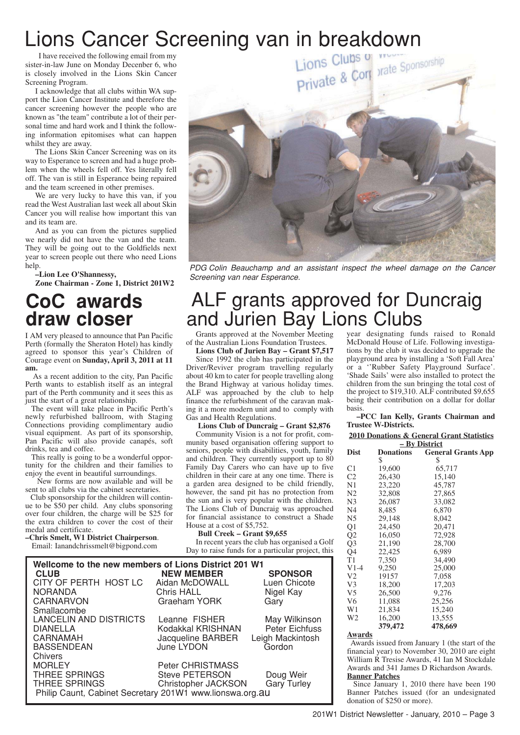I have received the following email from my sister-in-law June on Monday Decenber 6, who is closely involved in the Lions Skin Cancer Screening Program.

I acknowledge that all clubs within WA support the Lion Cancer Institute and therefore the cancer screening however the people who are known as "the team" contribute a lot of their personal time and hard work and I think the following information epitomises what can happen whilst they are away.

The Lions Skin Cancer Screening was on its way to Esperance to screen and had a huge problem when the wheels fell off. Yes literally fell off. The van is still in Esperance being repaired and the team screened in other premises.

We are very lucky to have this van, if you read the West Australian last week all about Skin Cancer you will realise how important this van and its team are.

And as you can from the pictures supplied we nearly did not have the van and the team. They will be going out to the Goldfields next year to screen people out there who need Lions help.

**–Lion Lee O'Shannessy,**

**Zone Chairman - Zone 1, District 201W2**

## **CoC awards draw closer**

I AM very pleased to announce that Pan Pacific Perth (formally the Sheraton Hotel) has kindly agreed to sponsor this year's Children of Courage event on **Sunday, April 3, 2011 at 11 am.**

As a recent addition to the city, Pan Pacific Perth wants to establish itself as an integral part of the Perth community and it sees this as just the start of a great relationship.

The event will take place in Pacific Perth's newly refurbished ballroom, with Staging Connections providing complimentary audio visual equipment. As part of its sponsorship, Pan Pacific will also provide canapés, soft drinks, tea and coffee.

This really is going to be a wonderful opportunity for the children and their families to enjoy the event in beautiful surroundings.

New forms are now available and will be sent to all clubs via the cabinet secretaries.

Club sponsorship for the children will continue to be \$50 per child. Any clubs sponsoring over four children, the charge will be \$25 for the extra children to cover the cost of their medal and certificate.

**–Chris Smelt, W1 District Chairperson**.

Email: Ianandchrissmelt@bigpond.com



PDG Colin Beauchamp and an assistant inspect the wheel damage on the Cancer Screening van near Esperance.

## ALF grants approved for Duncraig and Jurien Bay Lions Clubs

Grants approved at the November Meeting of the Australian Lions Foundation Trustees.

**Lions Club of Jurien Bay – Grant \$7,517** Since 1992 the club has participated in the Driver/Reviver program travelling regularly about 40 km to cater for people travelling along the Brand Highway at various holiday times. ALF was approached by the club to help finance the refurbishment of the caravan making it a more modern unit and to comply with Gas and Health Regulations.

### **Lions Club of Duncraig – Grant \$2,876**

Community Vision is a not for profit, community based organisation offering support to seniors, people with disabilities, youth, family and children. They currently support up to 80 Family Day Carers who can have up to five children in their care at any one time. There is a garden area designed to be child friendly, however, the sand pit has no protection from the sun and is very popular with the children. The Lions Club of Duncraig was approached for financial assistance to construct a Shade House at a cost of \$5,752.

### **Bull Creek – Grant \$9,655**

In recent years the club has organised a Golf Day to raise funds for a particular project, this

| Wellcome to the new members of Lions District 201 W1     |                         |                    |  |  |  |
|----------------------------------------------------------|-------------------------|--------------------|--|--|--|
| <b>CLUB</b>                                              | <b>NEW MEMBER</b>       | <b>SPONSOR</b>     |  |  |  |
| CITY OF PERTH HOST LC                                    | Aidan McDOWALL          | Luen Chicote       |  |  |  |
| <b>NORANDA</b>                                           | <b>Chris HALL</b>       | Nigel Kay          |  |  |  |
| <b>CARNARVON</b>                                         | Graeham YORK            | Gary               |  |  |  |
| Smallacombe                                              |                         |                    |  |  |  |
| <b>LANCELIN AND DISTRICTS</b>                            | Leanne FISHER           | May Wilkinson      |  |  |  |
| <b>DIANELLA</b>                                          | Kodakkal KRISHNAN       | Peter Eichfuss     |  |  |  |
| <b>CARNAMAH</b>                                          | Jacqueline BARBER       | Leigh Mackintosh   |  |  |  |
| <b>BASSENDEAN</b>                                        | June LYDON              | Gordon             |  |  |  |
| Chivers                                                  |                         |                    |  |  |  |
| <b>MORLEY</b>                                            | <b>Peter CHRISTMASS</b> |                    |  |  |  |
| <b>THREE SPRINGS</b>                                     | <b>Steve PETERSON</b>   | Doug Weir          |  |  |  |
| <b>THREE SPRINGS</b>                                     | Christopher JACKSON     | <b>Gary Turley</b> |  |  |  |
| Philip Caunt, Cabinet Secretary 201W1 www.lionswa.org.au |                         |                    |  |  |  |

year designating funds raised to Ronald McDonald House of Life. Following investigations by the club it was decided to upgrade the playground area by installing a 'Soft Fall Area' or a ''Rubber Safety Playground Surface'. 'Shade Sails' were also installed to protect the children from the sun bringing the total cost of the project to \$19,310. ALF contributed \$9,655 being their contribution on a dollar for dollar basis.

**–PCC Ian Kelly, Grants Chairman and Trustee W-Districts.**

| <b>2010 Donations &amp; General Grant Statistics</b> |                  |                           |  |  |  |
|------------------------------------------------------|------------------|---------------------------|--|--|--|
| – By District                                        |                  |                           |  |  |  |
| <b>Dist</b>                                          | <b>Donations</b> | <b>General Grants App</b> |  |  |  |
|                                                      | \$               | \$                        |  |  |  |
| C1                                                   | 19,600           | 65,717                    |  |  |  |
| C <sub>2</sub>                                       | 26.430           | 15,140                    |  |  |  |
| N <sub>1</sub>                                       | 23,220           | 45,787                    |  |  |  |
| N <sub>2</sub>                                       | 32,808           | 27,865                    |  |  |  |
| N <sub>3</sub>                                       | 26,087           | 33,082                    |  |  |  |
| N4                                                   | 8,485            | 6,870                     |  |  |  |
| N5                                                   | 29,148           | 8,042                     |  |  |  |
| Q1                                                   | 24,450           | 20.471                    |  |  |  |
| Q <sub>2</sub>                                       | 16,050           | 72,928                    |  |  |  |
| Q <sub>3</sub>                                       | 21,190           | 28,700                    |  |  |  |
| Q4                                                   | 22,425           | 6.989                     |  |  |  |
| T1                                                   | 7,350            | 34,490                    |  |  |  |
| $V1-4$                                               | 9,250            | 25,000                    |  |  |  |
| V <sub>2</sub>                                       | 19157            | 7,058                     |  |  |  |
| V <sub>3</sub>                                       | 18,200           | 17,203                    |  |  |  |
| V <sub>5</sub>                                       | 26,500           | 9,276                     |  |  |  |
| V <sub>6</sub>                                       | 11,088           | 25,256                    |  |  |  |
| W <sub>1</sub>                                       | 21,834           | 15,240                    |  |  |  |
| W <sub>2</sub>                                       | 16,200           | 13,555                    |  |  |  |
|                                                      | 379,472          | 478,669                   |  |  |  |
|                                                      |                  |                           |  |  |  |

### **Awards**

Awards issued from January 1 (the start of the financial year) to November 30, 2010 are eight William R Tresise Awards, 41 Ian M Stockdale Awards and 341 James D Richardson Awards. **Banner Patches**

Since January 1, 2010 there have been 190 Banner Patches issued (for an undesignated donation of \$250 or more).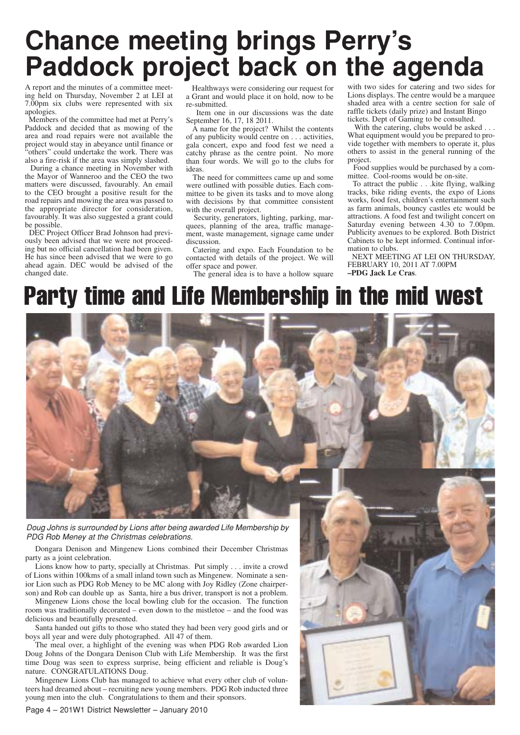# **Chance meeting brings Perry's Paddock project back on the agenda**

A report and the minutes of a committee meeting held on Thursday, November 2 at LEI at 7.00pm six clubs were represented with six apologies.

Members of the committee had met at Perry's Paddock and decided that as mowing of the area and road repairs were not available the project would stay in abeyance until finance or "others" could undertake the work. There was also a fire-risk if the area was simply slashed.

During a chance meeting in November with the Mayor of Wanneroo and the CEO the two matters were discussed, favourably. An email to the CEO brought a positive result for the road repairs and mowing the area was passed to the appropriate director for consideration, favourably. It was also suggested a grant could be possible.

DEC Project Officer Brad Johnson had previously been advised that we were not proceeding but no official cancellation had been given. He has since been advised that we were to go ahead again. DEC would be advised of the changed date.

Healthways were considering our request for a Grant and would place it on hold, now to be re-submitted.

Item one in our discussions was the date September 16, 17, 18 2011.

A name for the project? Whilst the contents of any publicity would centre on . . . activities, gala concert, expo and food fest we need a catchy phrase as the centre point. No more than four words. We will go to the clubs for ideas.

The need for committees came up and some were outlined with possible duties. Each committee to be given its tasks and to move along with decisions by that committee consistent with the overall project.

Security, generators, lighting, parking, marquees, planning of the area, traffic management, waste management, signage came under discussion.

Catering and expo. Each Foundation to be contacted with details of the project. We will offer space and power.

The general idea is to have a hollow square

with two sides for catering and two sides for Lions displays. The centre would be a marquee shaded area with a centre section for sale of raffle tickets (daily prize) and Instant Bingo tickets. Dept of Gaming to be consulted.

With the catering, clubs would be asked . . . What equipment would you be prepared to provide together with members to operate it, plus others to assist in the general running of the project.

Food supplies would be purchased by a committee. Cool-rooms would be on-site.

To attract the public . . .kite flying, walking tracks, bike riding events, the expo of Lions works, food fest, children's entertainment such as farm animals, bouncy castles etc would be attractions. A food fest and twilight concert on Saturday evening between 4.30 to 7.00pm. Publicity avenues to be explored. Both District Cabinets to be kept informed. Continual information to clubs.

NEXT MEETING AT LEI ON THURSDAY, FEBRUARY 10, 2011 AT 7.00PM **–PDG Jack Le Cras**.

## Party time and Life Membership in the mid west



PDG Rob Meney at the Christmas celebrations.

Dongara Denison and Mingenew Lions combined their December Christmas party as a joint celebration.

Lions know how to party, specially at Christmas. Put simply . . . invite a crowd of Lions within 100kms of a small inland town such as Mingenew. Nominate a senior Lion such as PDG Rob Meney to be MC along with Joy Ridley (Zone chairperson) and Rob can double up as Santa, hire a bus driver, transport is not a problem.

Mingenew Lions chose the local bowling club for the occasion. The function room was traditionally decorated – even down to the mistletoe – and the food was delicious and beautifully presented.

Santa handed out gifts to those who stated they had been very good girls and or boys all year and were duly photographed. All 47 of them.

The meal over, a highlight of the evening was when PDG Rob awarded Lion Doug Johns of the Dongara Denison Club with Life Membership. It was the first time Doug was seen to express surprise, being efficient and reliable is Doug's nature. CONGRATULATIONS Doug.

Mingenew Lions Club has managed to achieve what every other club of volunteers had dreamed about – recruiting new young members. PDG Rob inducted three young men into the club. Congratulations to them and their sponsors.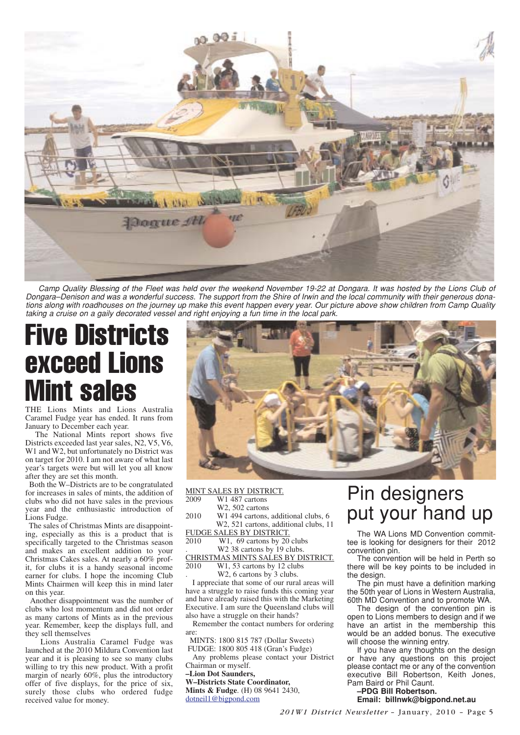

Camp Quality Blessing of the Fleet was held over the weekend November 19-22 at Dongara. It was hosted by the Lions Club of Dongara–Denison and was a wonderful success. The support from the Shire of Irwin and the local community with their generous donations along with roadhouses on the journey up make this event happen every year. Our picture above show children from Camp Quality taking a cruise on a gaily decorated vessel and right enjoying a fun time in the local park.

# Five Districts exceed Lions Mint sales

THE Lions Mints and Lions Australia Caramel Fudge year has ended. It runs from January to December each year.

The National Mints report shows five Districts exceeded last year sales, N2, V5, V6, W1 and W2, but unfortunately no District was on target for 2010. I am not aware of what last year's targets were but will let you all know after they are set this month.

Both the W–Districts are to be congratulated for increases in sales of mints, the addition of clubs who did not have sales in the previous year and the enthusiastic introduction of Lions Fudge.

The sales of Christmas Mints are disappointing, especially as this is a product that is specifically targeted to the Christmas season and makes an excellent addition to your Christmas Cakes sales. At nearly a 60% profit, for clubs it is a handy seasonal income earner for clubs. I hope the incoming Club Mints Chairmen will keep this in mind later on this year.

Another disappointment was the number of clubs who lost momentum and did not order as many cartons of Mints as in the previous year. Remember, keep the displays full, and they sell themselves

Lions Australia Caramel Fudge was launched at the 2010 Mildura Convention last year and it is pleasing to see so many clubs willing to try this new product. With a profit margin of nearly 60%, plus the introductory offer of five displays, for the price of six, surely those clubs who ordered fudge received value for money.



| MINT SALES BY DISTRICT.                                                                  |                        |
|------------------------------------------------------------------------------------------|------------------------|
| 2009<br>W1 487 cartons<br>W <sub>2</sub> , 50 <sub>2</sub> cartons                       |                        |
| 2010<br>W1 494 cartons, additional clubs, 6<br>W2, 521 cartons, additional clubs, 11     |                        |
| FUDGE SALES BY DISTRICT.<br>2010                                                         | Th                     |
| W1, 69 cartons by 20 clubs<br>W2 38 cartons by 19 clubs.                                 | tee is<br><b>CONVE</b> |
| CHRISTMAS MINTS SALES BY DISTRICT.                                                       | Th                     |
| 2010<br>W <sub>1</sub> , 53 cartons by 12 clubs                                          | there                  |
| W <sub>2</sub> , 6 cartons by 3 clubs.<br>I appreciate that some of our rural areas will | the d<br>ᅮᇈ            |

I appreciate that some of our rural areas will have a struggle to raise funds this coming year and have already raised this with the Marketing Executive. I am sure the Queensland clubs will also have a struggle on their hands?

Remember the contact numbers for ordering are:

MINTS: 1800 815 787 (Dollar Sweets) FUDGE: 1800 805 418 (Gran's Fudge)

Any problems please contact your District Chairman or myself.

**–Lion Dot Saunders,**

**W–Districts State Coordinator, Mints & Fudge**. (H) 08 9641 2430, dotneil1@bigpond.com

## n designers put your hand up

e WA Lions MD Convention commitlooking for designers for their 2012 ention pin.

e convention will be held in Perth so will be key points to be included in esian.

The pin must have a definition marking the 50th year of Lions in Western Australia, 60th MD Convention and to promote WA.

The design of the convention pin is open to Lions members to design and if we have an artist in the membership this would be an added bonus. The executive will choose the winning entry.

If you have any thoughts on the design or have any questions on this project please contact me or any of the convention executive Bill Robertson, Keith Jones, Pam Baird or Phil Caunt.

### **–PDG Bill Robertson. Email: billnwk@bigpond.net.au**